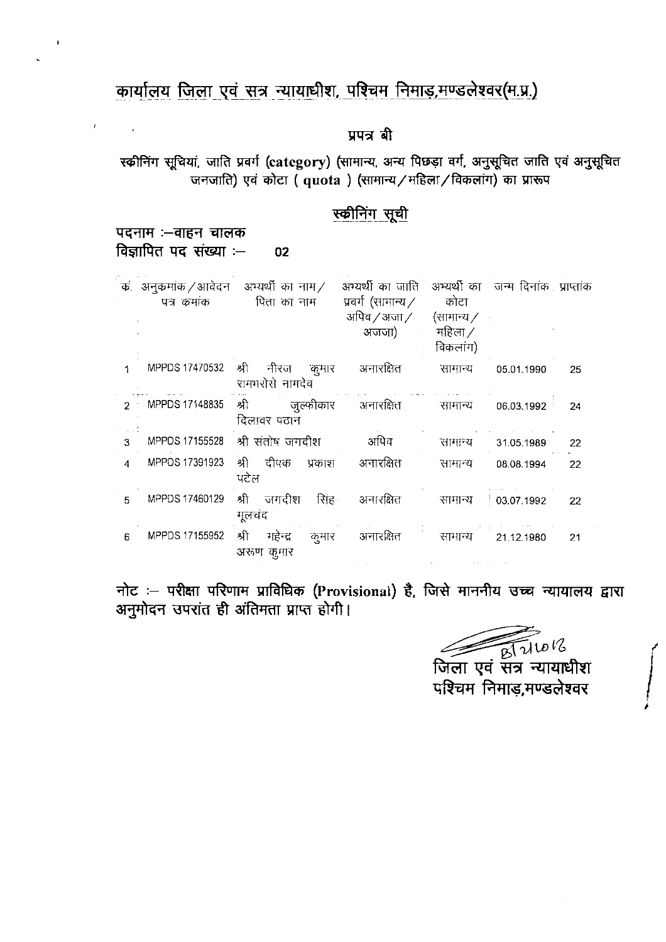### कार्यालय जिला एवं सत्र न्यायाधीश, पश्चिम निमाड़, मण्डलेश्वर (म.प्र.)

### प्रपत्र बी

स्कीनिंग सूचियां, जाति प्रवर्ग (category) (सामान्य, अन्य पिछड़ा वर्ग, अनुसूचित जाति एवं अनुसूचित जनजाति) एवं कोटा ( quota ) (सामान्य / महिला / विकलांग) का प्रारूप

### स्कीनिंग सूची

पदनाम :-बाहन चालक विज्ञापित पद संख्या $\cdot$ – 02

 $\bar{U}$ 

 $\mathcal{L}^{\text{max}}$ 

| ъ.            | पत्र कमांक     | अनुक्रमांक/आवेदन अभ्यर्थी का नाम/<br>पिता का नाम | अभ्यर्थी का जाति - अभ्यर्थी का - जन्म दिनांक : प्राप्तांक<br>प्रवर्ग (सामान्य $\angle$<br>अपिव $\sqrt{3}$ अजा $\sqrt{3}$<br>अजजा) | कोटा<br>(राामान्य $\angle$<br>महिला ⁄<br>विकलांग) |            |    |
|---------------|----------------|--------------------------------------------------|-----------------------------------------------------------------------------------------------------------------------------------|---------------------------------------------------|------------|----|
| 1             | MPPDS 17470532 | श्री<br>नीरज<br>कुमार<br>रामभरोसे नामदेव         | अनारक्षित                                                                                                                         | सामान्य                                           | 05.01.1990 | 25 |
| $\mathcal{D}$ | MPPDS 17148835 | श्री<br>जुल्फीकार<br>दिलावर पठान                 | अनारक्षित                                                                                                                         | सामान्य                                           | 06.03.1992 | 24 |
| 3             | MPPDS 17155528 | श्री संतोष जगदीश                                 | अपिव                                                                                                                              | सामान्य                                           | 31.05.1989 | 22 |
| 4             | MPPDS 17391923 | दीपक<br>श्री<br>प्रकाश<br>ਪਟੇਲ                   | अनारक्षित                                                                                                                         | सामान्य                                           | 08.08.1994 | 22 |
| 5             | MPPDS 17460129 | जगदीश<br>सिंह<br>श्री<br>मूलचंद                  | अनारक्षित                                                                                                                         | सामान्य                                           | 03.07.1992 | 22 |
| 6             | MPPDS 17155952 | श्री<br>महेन्द्र<br>कमार<br>अरुण कुमार           | अनारक्षित                                                                                                                         | सामान्य                                           | 21.12.1980 | 21 |

नोट :- परीक्षा परिणाम प्राविधिक (Provisional) है, जिसे माननीय उच्च न्यायालय द्वारा अनुमोदन उपरांत ही अंतिमता प्राप्त होगी।

लिला एवं सत्र न्यायाधीश पश्चिम निमाड,मण्डलेश्वर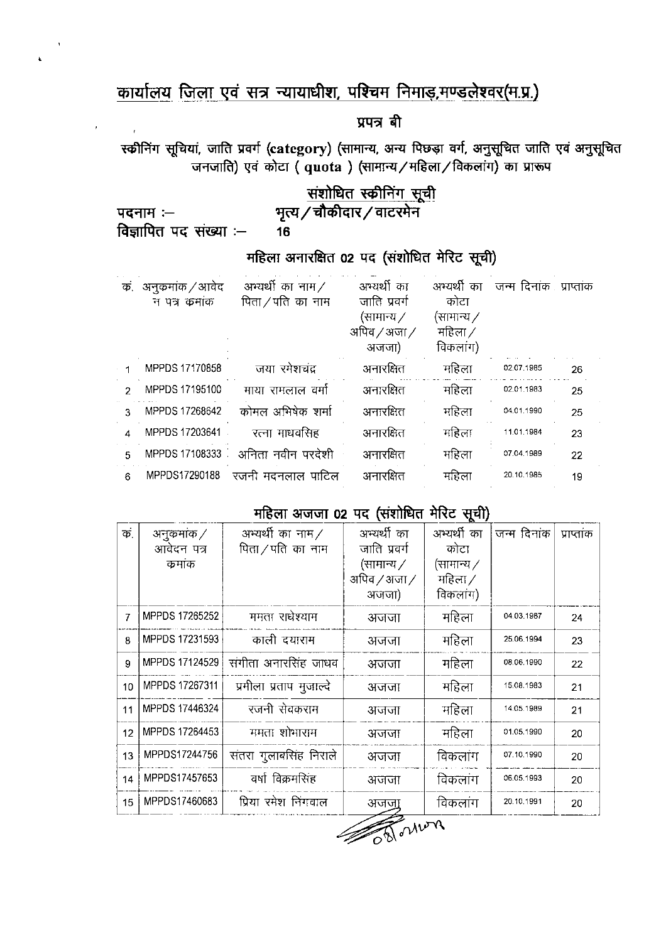# कार्यालय जिला एवं सत्र न्यायाधीश, पश्चिम निमाड़, मण्डलेश्वर(म.प्र.)

16

### प्रपत्र बी

स्कीनिंग सूचियां, जाति प्रवर्ग (category) (सामान्य, अन्य पिछड़ा वर्ग, अनुसूचित जाति एवं अनुसूचित जनजाति) एवं कोटा (quota) (सामान्य/महिला/विकलांग) का प्रारूप

# संशोधित स्कीनिंग सूची<br>भृत्य / चौकीदार / वाटरमेन

पदनाम :-विज्ञापित पद संख्या :-

 $\ddot{\phantom{a}}$ 

### महिला अनारक्षित 02 पद (संशोधित मेरिट सूची)

| ъ.            | अनुक्रमांक / आवेद<br>न पत्र कमाक | आभ्यर्थी का नाम $\angle$<br>पिता ⁄ पति का नाम | अभ्यर्थी का<br>जाति प्रवर्ग<br>(सामान्य ∕<br>अपिव / अजा /<br>अजजा) | अभ्यर्थी का<br>कोटा<br>(सामान्य $\nearrow$<br>महिला ⁄<br>विकलांग) | जन्म दिनांक प्राप्तांक |    |
|---------------|----------------------------------|-----------------------------------------------|--------------------------------------------------------------------|-------------------------------------------------------------------|------------------------|----|
|               | MPPDS 17170858                   | जया रमेशचंद्र                                 | अनारक्षित                                                          | महिला                                                             | 02.07.1985             | 26 |
| $\mathcal{D}$ | MPPDS 17195100                   | माया रामलाल वर्मा                             | अनारक्षित                                                          | महिला                                                             | 02.01.1983             | 25 |
| 3             | MPPDS 17268642                   | कोमल अभिषेक शर्मा                             | अनारक्षित                                                          | महिला                                                             | 04.01.1990             | 25 |
|               | MPPDS 17203641                   | रत्ना माधवसिह                                 | अनारक्षित                                                          | महिला                                                             | 11.01.1984             | 23 |
| 5             | MPPDS 17108333                   | अनिता नवीन परदेशी                             | अनारक्षित                                                          | महिला                                                             | 07.04.1989             | 22 |
| 6             | MPPDS17290188                    | रजनी मदनलाल पाटिल                             | अनारक्षित                                                          | महिला                                                             | 20.10.1985             | 19 |
|               |                                  |                                               |                                                                    |                                                                   |                        |    |

### महिला अजजा 02 पद (संशोधित मेरिट सूची)

| क. | अनुकमांक /     | अभ्यर्थी का नाम $\angle$ | अभ्यर्थी का       | अभ्यर्थी का       | जन्म दिनांक | प्राप्तांक |
|----|----------------|--------------------------|-------------------|-------------------|-------------|------------|
|    | आवेदन पत्र     | पिता ⁄ पति का नाम        | जाति प्रवर्ग      | कोटा              |             |            |
|    | कमांक          |                          | (सामान्य $\angle$ | (सामान्य $\angle$ |             |            |
|    |                |                          | अपिव ⁄ अजा ⁄      | महिला /           |             |            |
|    |                |                          | अजजा)             | विकलांग)          |             |            |
| 7  | MPPDS 17265252 | ममता राधेश्याम           | अजजा              | महिला             | 04 03 1987  | 24         |
| 8  | MPPDS 17231593 | काली दयाराम              | अजजा              | महिला             | 25.06.1994  | 23         |
| 9  | MPPDS 17124529 | संगीता अनारसिंह जाधव     | अजजा              | महिला             | 08.06.1990  | 22         |
| 10 | MPPDS 17267311 | प्रमीला प्रताप मुजाल्दे  | अजजा              | महिला             | 15.08.1983  | 21         |
| 11 | MPPDS 17446324 | रजनी सेवकराम             | अजजा              | महिला             | 14.05.1989  | 21         |
| 12 | MPPDS 17264453 | ममता शोभाराम             | अजजा              | महिला             | 01.05.1990  | 20         |
| 13 | MPPDS17244756  | संतरा गुलाबसिंह निराले   | अजजा              | विकलांग           | 07 10 1990  | 20         |
| 14 | MPPDS17457653  | वर्षा विक्रमसिंह         | अजजा              | विकलांग           | 06.05.1993  | 20         |
| 15 | MPPDS17460683  | प्रिया रमेश निंगवाल      | अजजा              | विकलांग           | 20.10.1991  | 20         |

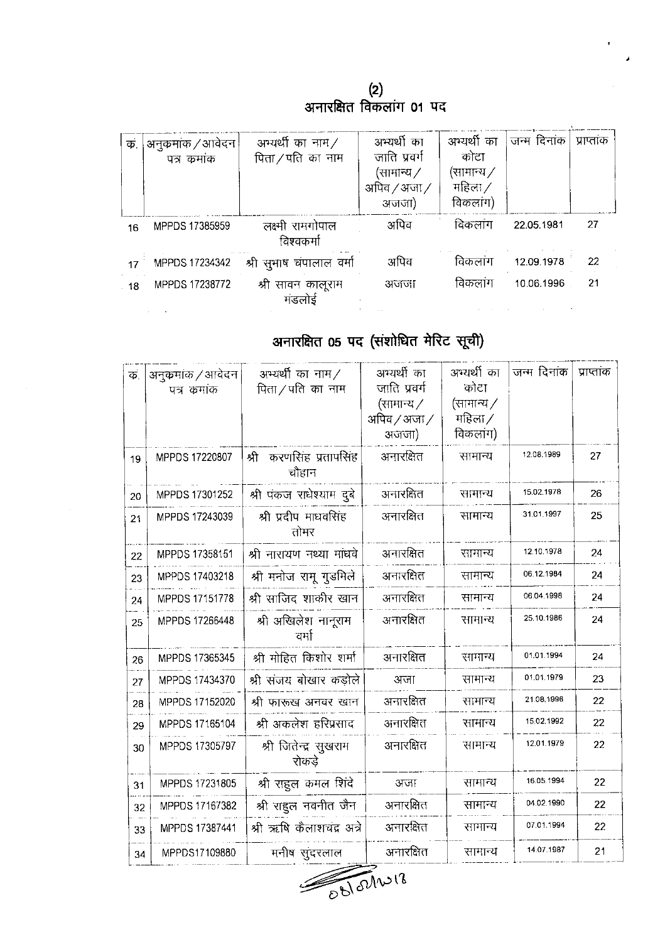(2)<br>अनारक्षित विकलांग 01 पद

| कं | अनुकमांक / आवेदन<br>पत्र कमाक | आभ्यर्थी का नाम $\angle$<br>पिता/पति का नाम | अभ्यर्थी का<br>जाति प्रवर्ग<br>(सामान्य ∕<br>अपिव / अजा /<br>अजजा) | अभ्यर्थी का<br>कोटा<br>(सामान्य ∕<br>महिला /<br>विकलांग) | जन्म दिनांक | प्राप्ताक |
|----|-------------------------------|---------------------------------------------|--------------------------------------------------------------------|----------------------------------------------------------|-------------|-----------|
| 16 | MPPDS 17385959                | लक्ष्मी रामगोपाल<br>विश्वकर्मा              | अपिव                                                               | विकलांग                                                  | 22.05.1981  | 27        |
| 17 | MPPDS 17234342                | श्री सुभाष चंपालाल वर्मा                    | अपिव                                                               | विकलांग                                                  | 12.09.1978  | 22        |
| 18 | MPPDS 17238772                | श्री सावन कालूराम<br>मंडलोई                 | अजजा                                                               | विकलांग                                                  | 10.06.1996  | 21        |

# अनारक्षित 05 पद (संशोधित मेरिट सूची)

| $\overrightarrow{\Phi}$ | अनुकमांक / आवेदन<br>पत्र कमाक | अभ्यर्थी का नाम $\angle$<br>पिता / पति का नाम | अभ्यर्थी का<br>जाति प्रवर्ग<br>(सामान्य ∕<br>अपिव / अजा /<br>अजजा) | अभ्यर्थी का<br>कोटा<br>(सामान्य ∕<br>महिला ⁄<br>विकलांग) | जन्म दिनांक | प्राप्तांक     |
|-------------------------|-------------------------------|-----------------------------------------------|--------------------------------------------------------------------|----------------------------------------------------------|-------------|----------------|
| 19                      | MPPDS 17220807                | करणसिंह प्रतापसिंह<br>श्री<br>चौहान           | अनारक्षित                                                          | सामान्य                                                  | 12.08.1989  | 27             |
| 20                      | MPPDS 17301252                | श्री पंकज राधेश्याम दुबे                      | अनारक्षित                                                          | सामान्य                                                  | 15.02.1978  | 26             |
| 21                      | MPPDS 17243039                | श्री प्रदीप माधवसिंह<br>तोमर                  | अनारक्षित                                                          | सामान्य                                                  | 31.01.1997  | 25             |
| 22                      | MPPDS 17358151                | श्री नारायण नथ्या मांधवे                      | अनारक्षित                                                          | सामान्य                                                  | 12.10.1978  | 24             |
| 23                      | MPPDS 17403218                | श्री मनोज रामू गुडमिले                        | अनारक्षित                                                          | सामान्य                                                  | 06.12.1984  | 24             |
| 24                      | MPPDS 17151778                | श्री साजिद शाकीर खान                          | अनारक्षित                                                          | सामान्य                                                  | 06 04 1998  | 24             |
| 25                      | MPPDS 17266448                | श्री अखिलेश नानूराम<br>वर्मा                  | अनारक्षित                                                          | सामान्य                                                  | 25.10.1986  | 24             |
| 26                      | MPPDS 17365345                | श्री मोहित किशोर शर्मा                        | अनारक्षित                                                          | सामान्य                                                  | 01.01.1994  | 24             |
| 27                      | MPPDS 17434370                | श्री संजय बोखार कड़ोले                        | अजा                                                                | सामान्य                                                  | 01.01.1979  | 23             |
| 28                      | MPPDS 17152020                | श्री फारूख अनवर खान                           | अनारक्षित                                                          | सामान्य                                                  | 21.08.1996  | 22             |
| 29                      | MPPDS 17165104                | श्री अकलेश हरिप्रसाद                          | अनारक्षित                                                          | सामान्य                                                  | 15.02.1992  | 22             |
| 30                      | MPPDS 17305797                | श्री जितेन्द्र सुखराम<br>रोकडे                | अनारक्षित                                                          | सामान्य                                                  | 12.01.1979  | 22             |
| 31                      | MPPDS 17231805                | श्री राहुल कमल शिंदे                          | अजा                                                                | सामान्य                                                  | 16.05.1994  | 22             |
| 32                      | MPPDS 17167382                | श्री राहुल नवनीत जैन                          | अनारक्षित                                                          | सामान्य                                                  | 04.02.1990  | 22             |
| 33                      | MPPDS 17387441                | श्री ऋषि कैलाशचंद्र अत्रे                     | अनारक्षित                                                          | सामान्य                                                  | 07.01.1994  | 22             |
| 34                      | MPPDS17109880                 | मनीष सुंदरलाल                                 | अनारक्षित                                                          | सामान्य                                                  | 14.07.1987  | 2 <sup>1</sup> |

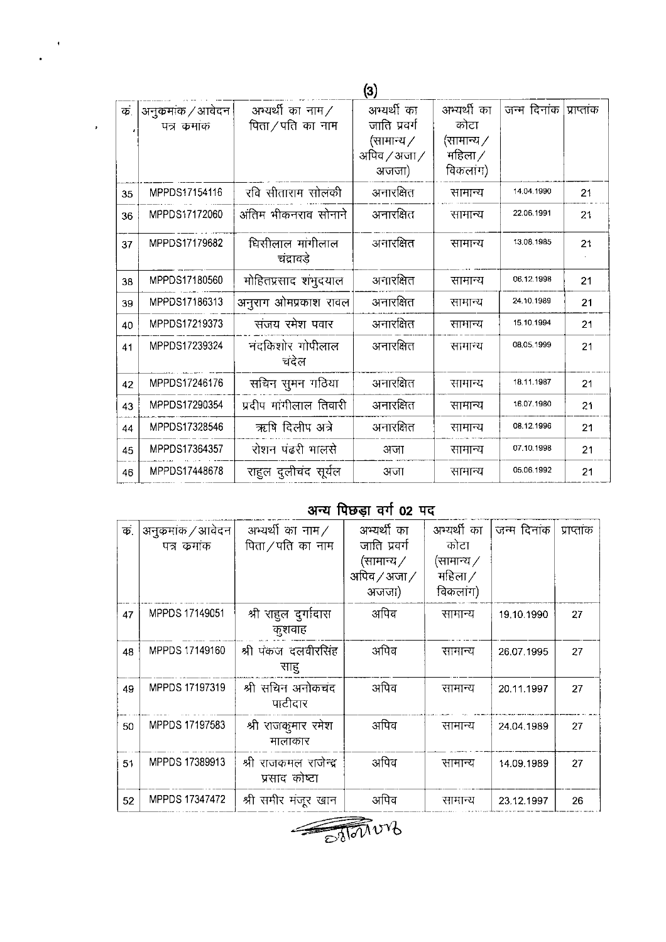|    |                                  |                                               | (3)                                              |                                        |             |            |
|----|----------------------------------|-----------------------------------------------|--------------------------------------------------|----------------------------------------|-------------|------------|
| क. | अनुक्रमांक / आवेदन<br>पत्र कमांक | अभ्यर्थी का नाम $\angle$<br>पिता ⁄ पति का नाम | अभ्यर्थी का<br>जाति प्रवर्ग<br>(सामान्य $\angle$ | अभ्यर्थी का<br>कोटा<br>(सामान्य $\not$ | जन्म दिनांक | प्राप्तांक |
|    |                                  |                                               | अपिव / अजा /<br>अजजा)                            | महिला $\angle$<br>विकलांग)             |             |            |
| 35 | MPPDS17154116                    | रवि सीताराम सोलकी                             | अनारक्षित                                        | सामान्य                                | 14.04.1990  | 21         |
| 36 | MPPDS17172060                    | अंतिम भीकनराव सोनाने                          | अनारक्षित                                        | सामान्य                                | 22.06.1991  | 21         |
| 37 | MPPDS17179682                    | धिसीलाल मांगीलाल<br>चंद्रावडे                 | अनारक्षित                                        | सामान्य                                | 13.08.1985  | 21         |
| 38 | MPPDS17180560                    | मोहितप्रसाद शंभुदयाल                          | अनारक्षित                                        | सामान्य                                | 06.12.1998  | 21         |
| 39 | MPPDS17186313                    | अनुराग ओमप्रकाश रावल                          | अनारक्षित                                        | सामान्य                                | 24.10.1989  | 21         |
| 40 | MPPDS17219373                    | संजय रमेश पवार                                | अनारक्षित                                        | सामान्य                                | 15.10.1994  | 21         |
| 41 | MPPDS17239324                    | नंदकिशोर गोपीलाल<br>चंदेल                     | अनारक्षित                                        | सामान्य                                | 08.05.1999  | 21         |
| 42 | MPPDS17246176                    | सचिन सुमन गठिया                               | अनारक्षित                                        | सामान्य                                | 18 11 1987  | 21         |
| 43 | MPPDS17290354                    | प्रदीप मांगीलाल तिवारी                        | अनारक्षित                                        | सामान्य                                | 16.07.1980  | 21         |
| 44 | MPPDS17328546                    | ऋषि दिलीप अत्रे                               | अनारक्षित                                        | सामान्य                                | 08.12.1996  | 21         |
| 45 | MPPDS17364357                    | रोशन पढरी भालसे                               | अजा                                              | सामान्य                                | 07.10.1998  | 21         |
| 46 | MPPDS17448678                    | राहुल दुलीचंद सूर्यल                          | अजा                                              | सामान्य                                | 05.06.1992  | 21         |

 $\sim$  +  $\,$  $\ddot{\phantom{a}}$ 

 $\bar{\mathbf{r}}$ 

### अन्य पिछड़ा वर्ग 02 पद

| $\overline{\Phi}$ | अनुक्रमांक / आवेदन<br>पत्र कमांक | अभ्यर्थी का नाम $\angle$<br>पिता / पति का नाम | अभ्यर्थी का<br>जाति प्रवर्ग<br>(सामान्य /<br>अपिव $/$ अजा $/$<br>अजजा) | अभ्यर्थी का<br>कोटा<br>(सामान्य $\angle$<br>महिला /<br>विकलांग) | जन्म दिनांक | प्राप्ताक |
|-------------------|----------------------------------|-----------------------------------------------|------------------------------------------------------------------------|-----------------------------------------------------------------|-------------|-----------|
| 47                | MPPDS 17149051                   | श्री राहुल दुर्गादास<br>कुशवाह                | अपिव                                                                   | सामान्य                                                         | 19.10.1990  | 27        |
| 48                | MPPDS 17149160                   | श्री पंकज दलवीरसिंह<br>साह                    | अपिव                                                                   | सामान्य                                                         | 26.07.1995  | 27        |
| 49                | MPPDS 17197319                   | श्री सचिन अनोकचंद<br>पाटीदार                  | अपिव                                                                   | सामान्य                                                         | 20.11.1997  | 27        |
| 50                | MPPDS 17197583                   | श्री राजकुमार रमेश<br>मालाकार                 | अपिव                                                                   | सामान्य                                                         | 24.04.1989  | 27        |
| 51                | MPPDS 17389913                   | श्री राजकमल राजेन्द्र<br>प्रसाद कोष्टा        | अपिव                                                                   | सामान्य                                                         | 14.09.1989  | 27        |
| 52                | MPPDS 17347472                   | श्री समीर मंजूर खान                           | अपिव                                                                   | सामान्य                                                         | 23.12.1997  | 26        |

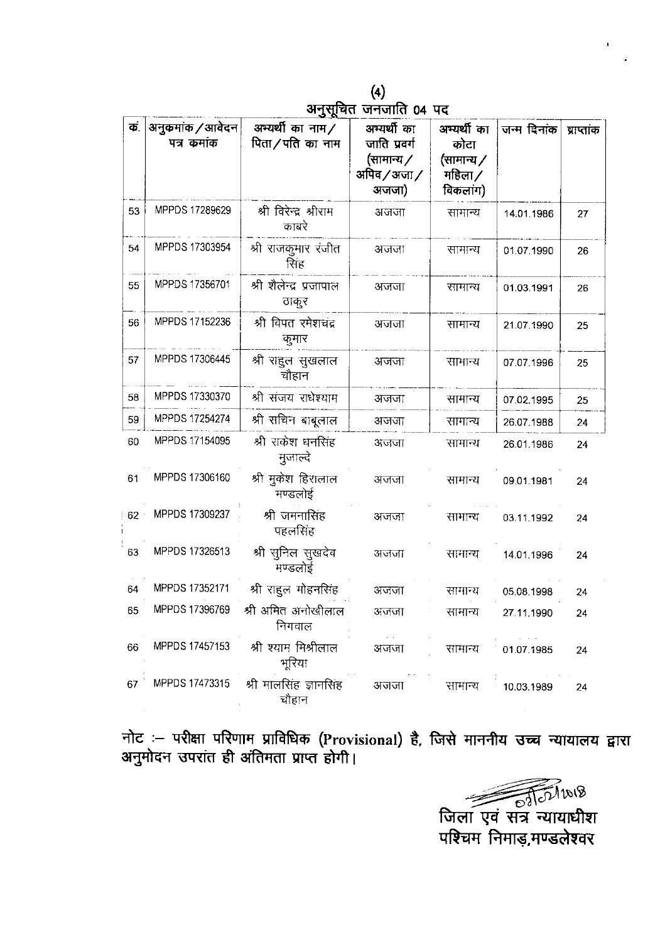्<br>(4)<br>अनुसूचित जनजाति 04 पद

| क.     | अनुकमांक / आवेदन<br>पत्र कुमांक | अभ्यर्थी का नाम $\angle$<br>पिता/पति का नाम | अभ्यर्थी का<br>जाति प्रवर्ग<br>(सामान्य /<br>अपिव $\angle$ अजा $\angle$<br>अजजा) | अम्यर्थी का<br>कोटा<br>(सामान्य ∕<br>महिला /<br>विकलाग) | जन्म दिनांक | प्राप्तांक |
|--------|---------------------------------|---------------------------------------------|----------------------------------------------------------------------------------|---------------------------------------------------------|-------------|------------|
| 53     | MPPDS 17289629                  | श्री विरेन्द्र श्रीराम<br>काबरे             | अजजा                                                                             | सामान्य                                                 | 14.01.1986  | 27         |
| 54     | MPPDS 17303954                  | श्री राजकुमार रंजीत<br>सिंह                 | अजजा                                                                             | सामान्य                                                 | 01.07.1990  | 26         |
| 55     | MPPDS 17356701                  | श्री शैलेन्द्र प्रजापाल<br>ठाकुर            | अजजा                                                                             | सामान्य                                                 | 01.03.1991  | 26         |
| 56     | MPPDS 17152236                  | श्री विपत रमेशचंद्र<br>कुमार                | अजजा                                                                             | सामान्य                                                 | 21.07.1990  | 25         |
| 57     | MPPDS 17306445                  | श्री राहुल सुखलाल<br>चौहान                  | अजजा                                                                             | सामान्य                                                 | 07.07.1996  | 25         |
| 58     | MPPDS 17330370                  | श्री संजय राधेश्याम                         | अजजा                                                                             | सामान्य                                                 | 07.02.1995  | 25         |
| 59     | MPPDS 17254274                  | श्री सचिन बाबूलाल                           | अजजा                                                                             | सामान्य                                                 | 26.07.1988  | 24         |
| 60     | MPPDS 17154095                  | श्री राकेश धनसिंह<br>मुजाल्दे               | अजजा                                                                             | सामान्य                                                 | 26.01.1986  | 24         |
| 61     | MPPDS 17306160                  | श्री मुकेश हिरालाल<br>मण्डलोई               | अजजा                                                                             | सामान्य                                                 | 09.01.1981  | 24         |
| $62 -$ | MPPDS 17309237                  | श्री जमनासिंह<br>पहलसिंह                    | अजजा                                                                             | सामान्य                                                 | 03.11.1992  | 24         |
| 63     | MPPDS 17326513                  | श्री सुनिल सुखदेव<br>मण्डलोई                | अजजा                                                                             | सामान्य                                                 | 14.01.1996  | 24         |
| 64     | MPPDS 17352171                  | श्री राहुल मोहनसिंह                         | अजजा                                                                             | सामान्य                                                 | 05.08.1998  | 24         |
| 65     | MPPDS 17396769                  | श्री अमित अनोखीलाल<br>निगवाल                | अजजा                                                                             | सामान्य                                                 | 27.11.1990  | 24         |
| 66     | MPPDS 17457153                  | श्री श्याम मिश्रीलाल<br>भूरिया              | अजजा                                                                             | सामान्य                                                 | 01.07.1985  | 24         |
| 67     | MPPDS 17473315                  | श्री मालसिंह ज्ञानसिंह<br>चौहान             | अजजा                                                                             | सामान्य                                                 | 10.03.1989  | 24         |

नोट :— परीक्षा परिणाम प्राविधिक (Provisional) है, जिसे माननीय उच्च न्यायालय द्वारा<br>अनुमोदन उपरांत ही अंतिमता प्राप्त होगी।

जिला एवं सत्र न्यायाधीश<br>परिचम निमाड,मण्डलेश्वर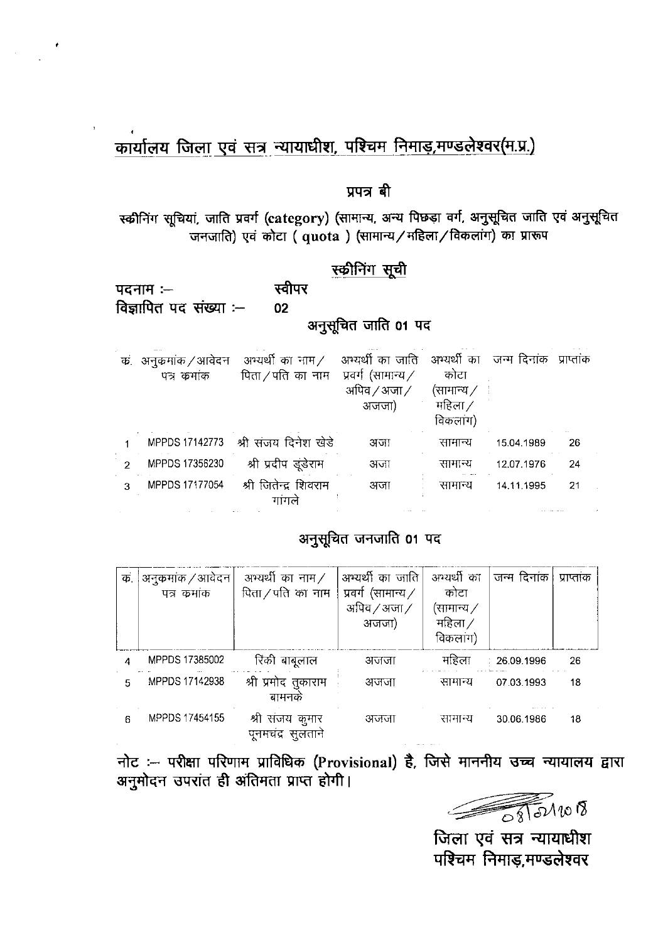### कार्यालय जिला एवं सत्र न्यायाधीश, पश्चिम निमाड़,मण्डलेश्वर(म.प्र.)

#### प्रपत्र बी

स्कीनिंग सूचियां, जाति प्रवर्ग (category) (सामान्य, अन्य पिछड़ा वर्ग, अनुसूचित जाति एवं अनुसूचित जनजाति) एवं कोटा ( quota ) (सामान्य / महिला / विकलांग) का प्रारूप

### स्कीनिंग सूची

स्वीपर पदनाम $:=$ विज्ञापित पद संख्या :--02 अनूसूचित जाति 01 पद

| क. | अनुकमांक / आवेदन | आभ्यर्थी का नाम $\angle$ | अभ्यर्थी का जाति अभ्यर्थी का जन्म दिनांक |                 |            | प्राप्ताक |
|----|------------------|--------------------------|------------------------------------------|-----------------|------------|-----------|
|    | पत्र कमांक       | पिता / पति का नाम        | प्रवर्ग (सामान्य /                       | कोटा            |            |           |
|    |                  |                          | अपिव $/$ अजा $/$                         | (सामान्य $\not$ |            |           |
|    |                  |                          | अजजा)                                    | महिला /         |            |           |
|    |                  |                          |                                          | विकलांग)        |            |           |
|    | MPPDS 17142773   | श्री संजय दिनेश खेडे     | अजा                                      | सामान्य         | 15.04.1989 | 26        |
|    | MPPDS 17356230   | श्री प्रदीप डूंडेराम     | अजा                                      | सामान्य         | 12.07.1976 | 24        |
| 3  | MPPDS 17177054   | श्री जितेन्द्र शिवराम    | अजा                                      | सामान्य         | 14.11.1995 | 21        |
|    |                  | गांगले                   |                                          |                 |            |           |

### अनुसूचित जनजाति 01 पद

| $\overline{\Phi}$ | 'अनुक्रमांक / आवेदन।<br>पत्र कुमाक | अभ्यर्थी का नाम $\angle$<br>पिता / पति का नाम | अभ्यर्थी का जाति<br>प्रवर्ग (सामान्य $\angle$<br>अपिव $/$ अजा $/$<br>अजजा) | अभ्यर्थी का<br>कोटा<br>(सामान्य ∕<br>महिला /<br>विकलांग) | जन्म दिनांक | प्राप्ताक |
|-------------------|------------------------------------|-----------------------------------------------|----------------------------------------------------------------------------|----------------------------------------------------------|-------------|-----------|
|                   | MPPDS 17385002                     | रिंकी बाबूलाल                                 | अजजा                                                                       | महिला                                                    | 26.09.1996  | 26        |
| 5                 | MPPDS 17142938                     | श्री प्रमोद तुकाराम<br>बामनक                  | अजजा                                                                       | सामान्य                                                  | 07.03.1993  | 18        |
| 6                 | MPPDS 17454155                     | श्री संजय कुमार<br>पुनमचंद्र सुलताने          | अजजा                                                                       | सामान्य                                                  | 30.06.1986  | 18        |

नोट :- परीक्षा परिणाम प्राविधिक (Provisional) है, जिसे माननीय उच्च न्यायालय द्वारा अनुमोदन उपरांत ही अंतिमता प्राप्त होगी।

जिला एवं सत्र न्यायाधीश पश्चिम निमाड,मण्डलेश्वर